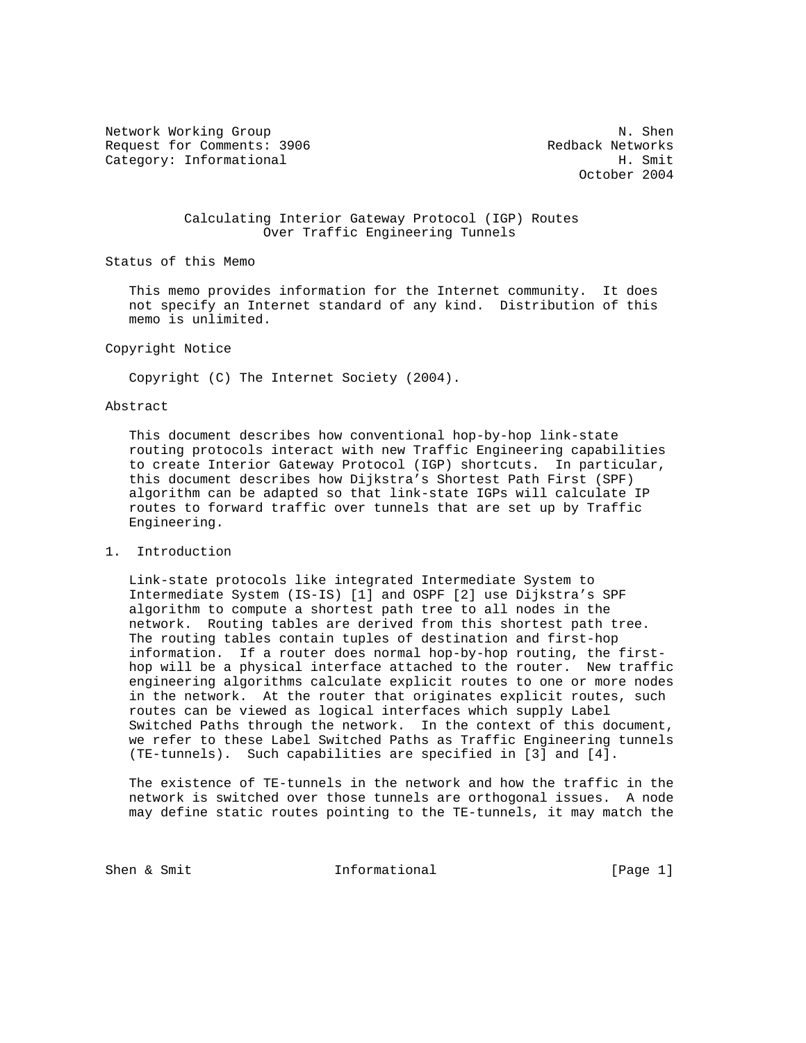Network Working Group Network Working Group Network Network Network Network Network Network Network Network Ne Request for Comments: 3906 Redback Networks<br>Category: Informational Redback Networks Category: Informational

October 2004

#### Calculating Interior Gateway Protocol (IGP) Routes Over Traffic Engineering Tunnels

Status of this Memo

 This memo provides information for the Internet community. It does not specify an Internet standard of any kind. Distribution of this memo is unlimited.

Copyright Notice

Copyright (C) The Internet Society (2004).

# Abstract

 This document describes how conventional hop-by-hop link-state routing protocols interact with new Traffic Engineering capabilities to create Interior Gateway Protocol (IGP) shortcuts. In particular, this document describes how Dijkstra's Shortest Path First (SPF) algorithm can be adapted so that link-state IGPs will calculate IP routes to forward traffic over tunnels that are set up by Traffic Engineering.

1. Introduction

 Link-state protocols like integrated Intermediate System to Intermediate System (IS-IS) [1] and OSPF [2] use Dijkstra's SPF algorithm to compute a shortest path tree to all nodes in the network. Routing tables are derived from this shortest path tree. The routing tables contain tuples of destination and first-hop information. If a router does normal hop-by-hop routing, the first hop will be a physical interface attached to the router. New traffic engineering algorithms calculate explicit routes to one or more nodes in the network. At the router that originates explicit routes, such routes can be viewed as logical interfaces which supply Label Switched Paths through the network. In the context of this document, we refer to these Label Switched Paths as Traffic Engineering tunnels (TE-tunnels). Such capabilities are specified in [3] and [4].

 The existence of TE-tunnels in the network and how the traffic in the network is switched over those tunnels are orthogonal issues. A node may define static routes pointing to the TE-tunnels, it may match the

Shen & Smit  $I_n$  Informational [Page 1]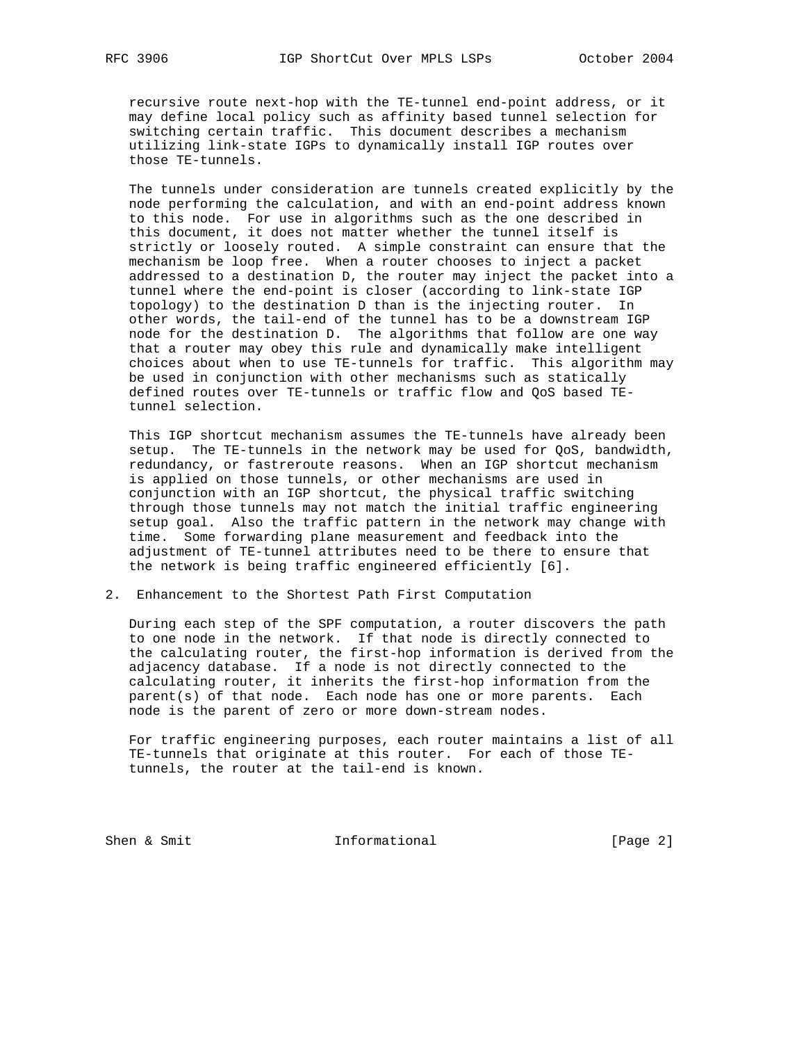recursive route next-hop with the TE-tunnel end-point address, or it may define local policy such as affinity based tunnel selection for switching certain traffic. This document describes a mechanism utilizing link-state IGPs to dynamically install IGP routes over those TE-tunnels.

 The tunnels under consideration are tunnels created explicitly by the node performing the calculation, and with an end-point address known to this node. For use in algorithms such as the one described in this document, it does not matter whether the tunnel itself is strictly or loosely routed. A simple constraint can ensure that the mechanism be loop free. When a router chooses to inject a packet addressed to a destination D, the router may inject the packet into a tunnel where the end-point is closer (according to link-state IGP topology) to the destination D than is the injecting router. In other words, the tail-end of the tunnel has to be a downstream IGP node for the destination D. The algorithms that follow are one way that a router may obey this rule and dynamically make intelligent choices about when to use TE-tunnels for traffic. This algorithm may be used in conjunction with other mechanisms such as statically defined routes over TE-tunnels or traffic flow and QoS based TE tunnel selection.

 This IGP shortcut mechanism assumes the TE-tunnels have already been setup. The TE-tunnels in the network may be used for QoS, bandwidth, redundancy, or fastreroute reasons. When an IGP shortcut mechanism is applied on those tunnels, or other mechanisms are used in conjunction with an IGP shortcut, the physical traffic switching through those tunnels may not match the initial traffic engineering setup goal. Also the traffic pattern in the network may change with time. Some forwarding plane measurement and feedback into the adjustment of TE-tunnel attributes need to be there to ensure that the network is being traffic engineered efficiently [6].

2. Enhancement to the Shortest Path First Computation

 During each step of the SPF computation, a router discovers the path to one node in the network. If that node is directly connected to the calculating router, the first-hop information is derived from the adjacency database. If a node is not directly connected to the calculating router, it inherits the first-hop information from the parent(s) of that node. Each node has one or more parents. Each node is the parent of zero or more down-stream nodes.

 For traffic engineering purposes, each router maintains a list of all TE-tunnels that originate at this router. For each of those TE tunnels, the router at the tail-end is known.

Shen & Smit **Informational** [Page 2]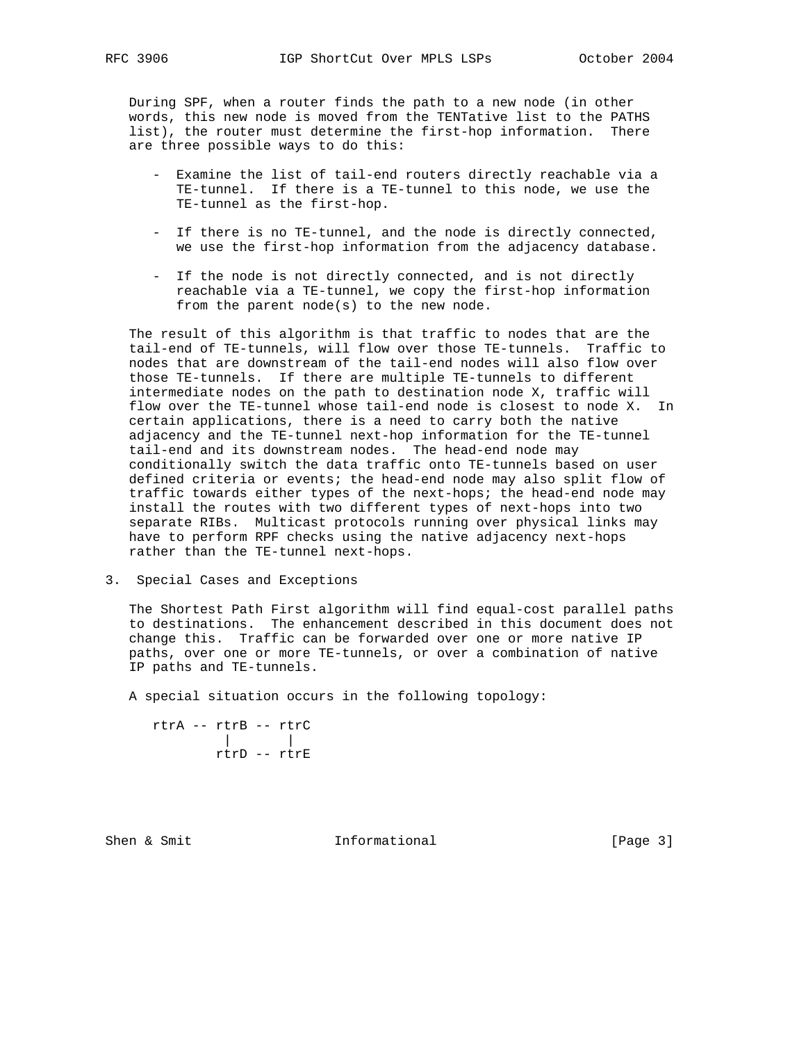During SPF, when a router finds the path to a new node (in other words, this new node is moved from the TENTative list to the PATHS list), the router must determine the first-hop information. There are three possible ways to do this:

- Examine the list of tail-end routers directly reachable via a TE-tunnel. If there is a TE-tunnel to this node, we use the TE-tunnel as the first-hop.
- If there is no TE-tunnel, and the node is directly connected, we use the first-hop information from the adjacency database.
- If the node is not directly connected, and is not directly reachable via a TE-tunnel, we copy the first-hop information from the parent node(s) to the new node.

 The result of this algorithm is that traffic to nodes that are the tail-end of TE-tunnels, will flow over those TE-tunnels. Traffic to nodes that are downstream of the tail-end nodes will also flow over those TE-tunnels. If there are multiple TE-tunnels to different intermediate nodes on the path to destination node X, traffic will flow over the TE-tunnel whose tail-end node is closest to node X. In certain applications, there is a need to carry both the native adjacency and the TE-tunnel next-hop information for the TE-tunnel tail-end and its downstream nodes. The head-end node may conditionally switch the data traffic onto TE-tunnels based on user defined criteria or events; the head-end node may also split flow of traffic towards either types of the next-hops; the head-end node may install the routes with two different types of next-hops into two separate RIBs. Multicast protocols running over physical links may have to perform RPF checks using the native adjacency next-hops rather than the TE-tunnel next-hops.

3. Special Cases and Exceptions

 The Shortest Path First algorithm will find equal-cost parallel paths to destinations. The enhancement described in this document does not change this. Traffic can be forwarded over one or more native IP paths, over one or more TE-tunnels, or over a combination of native IP paths and TE-tunnels.

A special situation occurs in the following topology:

 rtrA -- rtrB -- rtrC | | rtrD -- rtrE

Shen & Smit  $Informational$  [Page 3]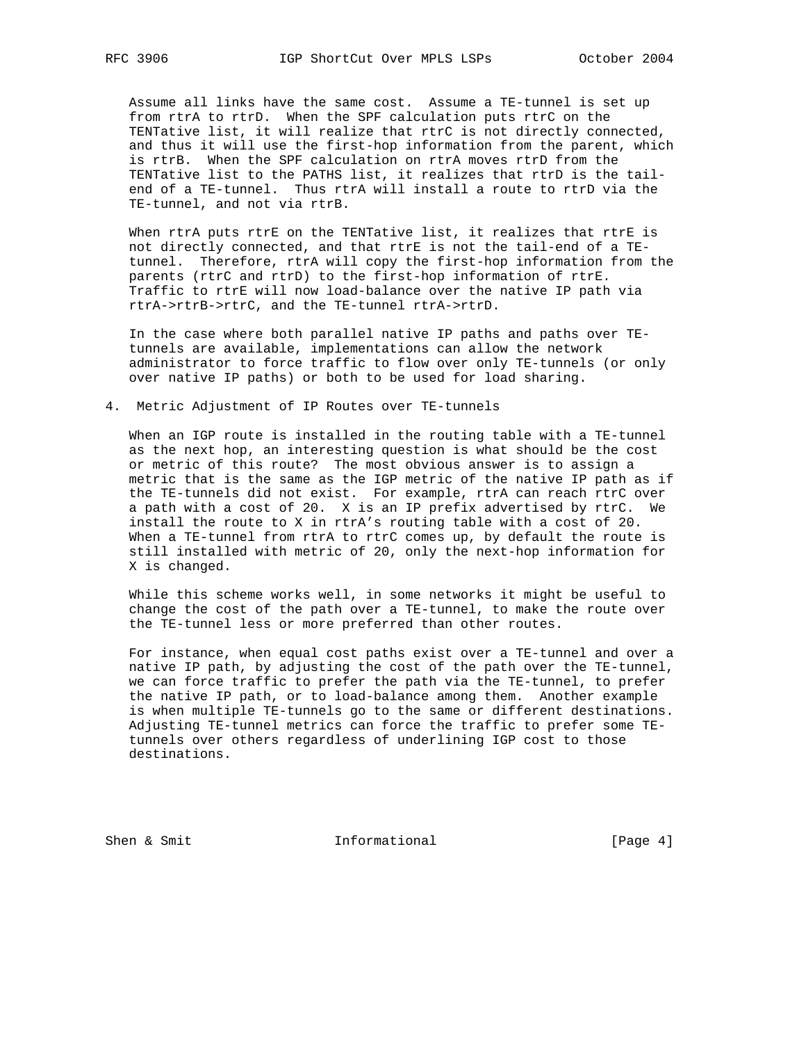Assume all links have the same cost. Assume a TE-tunnel is set up from rtrA to rtrD. When the SPF calculation puts rtrC on the TENTative list, it will realize that rtrC is not directly connected, and thus it will use the first-hop information from the parent, which is rtrB. When the SPF calculation on rtrA moves rtrD from the TENTative list to the PATHS list, it realizes that rtrD is the tail end of a TE-tunnel. Thus rtrA will install a route to rtrD via the TE-tunnel, and not via rtrB.

When rtrA puts rtrE on the TENTative list, it realizes that rtrE is not directly connected, and that rtrE is not the tail-end of a TE tunnel. Therefore, rtrA will copy the first-hop information from the parents (rtrC and rtrD) to the first-hop information of rtrE. Traffic to rtrE will now load-balance over the native IP path via rtrA->rtrB->rtrC, and the TE-tunnel rtrA->rtrD.

 In the case where both parallel native IP paths and paths over TE tunnels are available, implementations can allow the network administrator to force traffic to flow over only TE-tunnels (or only over native IP paths) or both to be used for load sharing.

4. Metric Adjustment of IP Routes over TE-tunnels

 When an IGP route is installed in the routing table with a TE-tunnel as the next hop, an interesting question is what should be the cost or metric of this route? The most obvious answer is to assign a metric that is the same as the IGP metric of the native IP path as if the TE-tunnels did not exist. For example, rtrA can reach rtrC over a path with a cost of 20. X is an IP prefix advertised by rtrC. We install the route to X in rtrA's routing table with a cost of 20. When a TE-tunnel from rtrA to rtrC comes up, by default the route is still installed with metric of 20, only the next-hop information for X is changed.

 While this scheme works well, in some networks it might be useful to change the cost of the path over a TE-tunnel, to make the route over the TE-tunnel less or more preferred than other routes.

 For instance, when equal cost paths exist over a TE-tunnel and over a native IP path, by adjusting the cost of the path over the TE-tunnel, we can force traffic to prefer the path via the TE-tunnel, to prefer the native IP path, or to load-balance among them. Another example is when multiple TE-tunnels go to the same or different destinations. Adjusting TE-tunnel metrics can force the traffic to prefer some TE tunnels over others regardless of underlining IGP cost to those destinations.

Shen & Smit **Informational** [Page 4]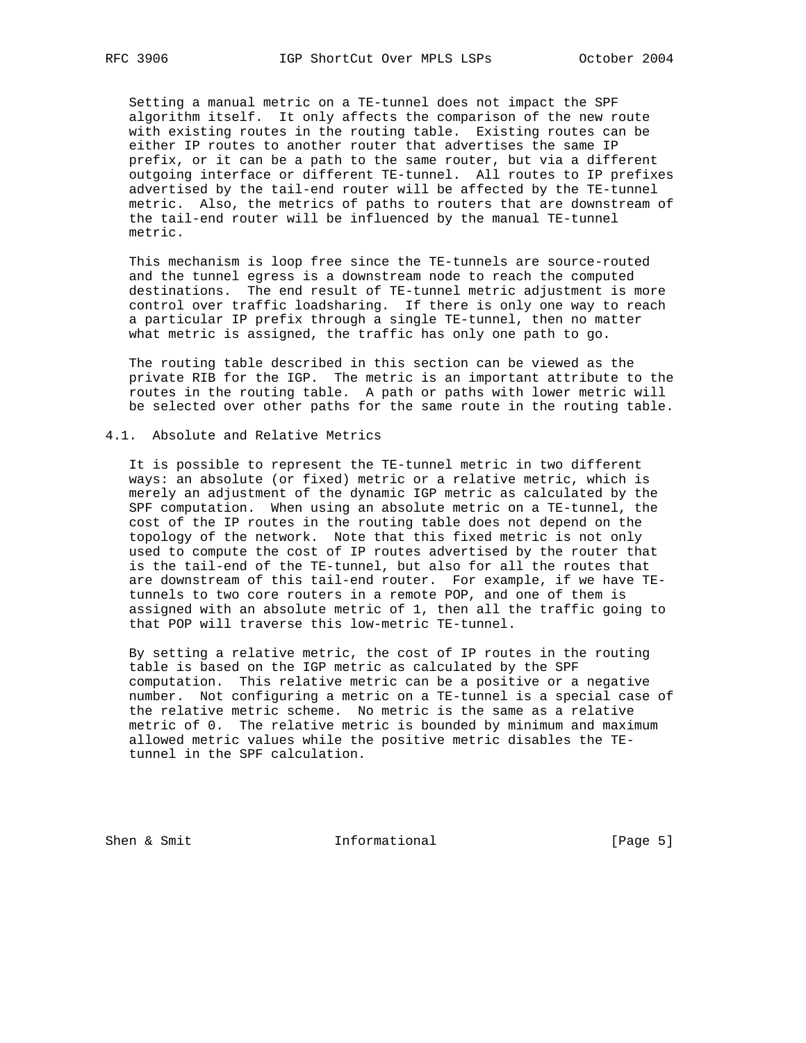Setting a manual metric on a TE-tunnel does not impact the SPF algorithm itself. It only affects the comparison of the new route with existing routes in the routing table. Existing routes can be either IP routes to another router that advertises the same IP prefix, or it can be a path to the same router, but via a different outgoing interface or different TE-tunnel. All routes to IP prefixes advertised by the tail-end router will be affected by the TE-tunnel metric. Also, the metrics of paths to routers that are downstream of the tail-end router will be influenced by the manual TE-tunnel metric.

 This mechanism is loop free since the TE-tunnels are source-routed and the tunnel egress is a downstream node to reach the computed destinations. The end result of TE-tunnel metric adjustment is more control over traffic loadsharing. If there is only one way to reach a particular IP prefix through a single TE-tunnel, then no matter what metric is assigned, the traffic has only one path to go.

 The routing table described in this section can be viewed as the private RIB for the IGP. The metric is an important attribute to the routes in the routing table. A path or paths with lower metric will be selected over other paths for the same route in the routing table.

### 4.1. Absolute and Relative Metrics

 It is possible to represent the TE-tunnel metric in two different ways: an absolute (or fixed) metric or a relative metric, which is merely an adjustment of the dynamic IGP metric as calculated by the SPF computation. When using an absolute metric on a TE-tunnel, the cost of the IP routes in the routing table does not depend on the topology of the network. Note that this fixed metric is not only used to compute the cost of IP routes advertised by the router that is the tail-end of the TE-tunnel, but also for all the routes that are downstream of this tail-end router. For example, if we have TE tunnels to two core routers in a remote POP, and one of them is assigned with an absolute metric of 1, then all the traffic going to that POP will traverse this low-metric TE-tunnel.

 By setting a relative metric, the cost of IP routes in the routing table is based on the IGP metric as calculated by the SPF computation. This relative metric can be a positive or a negative number. Not configuring a metric on a TE-tunnel is a special case of the relative metric scheme. No metric is the same as a relative metric of 0. The relative metric is bounded by minimum and maximum allowed metric values while the positive metric disables the TE tunnel in the SPF calculation.

Shen & Smit **Informational** [Page 5]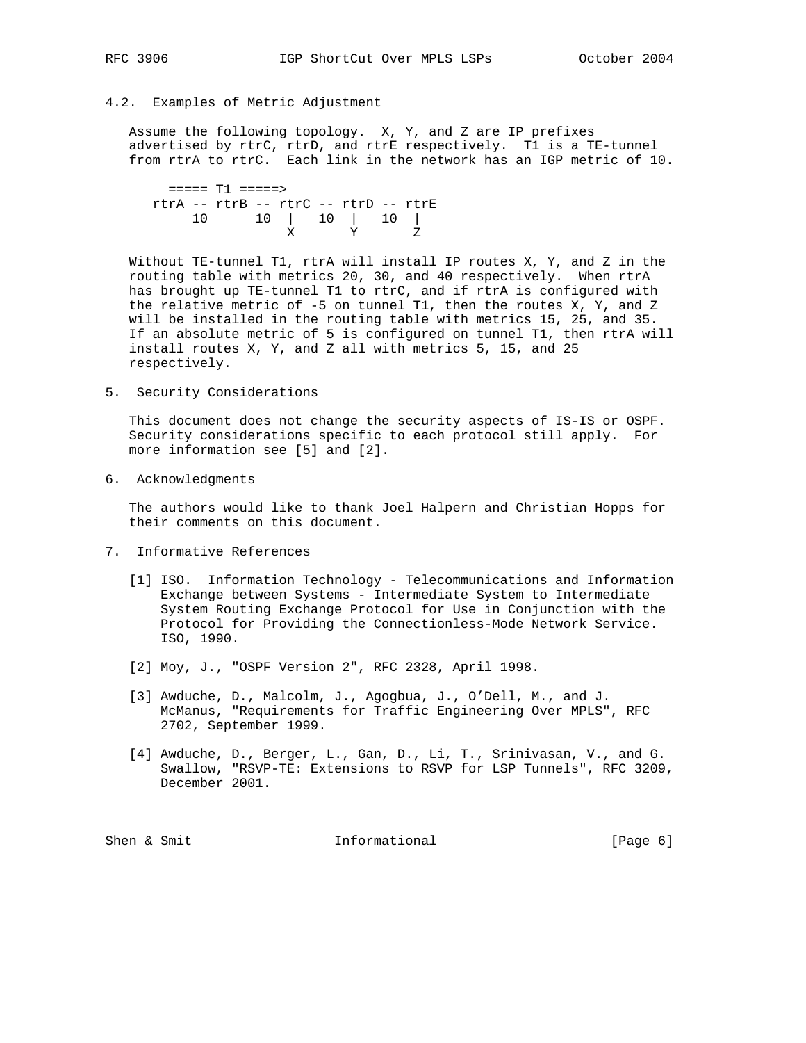### 4.2. Examples of Metric Adjustment

 Assume the following topology. X, Y, and Z are IP prefixes advertised by rtrC, rtrD, and rtrE respectively. T1 is a TE-tunnel from rtrA to rtrC. Each link in the network has an IGP metric of 10.

 ===== T1 =====> rtrA -- rtrB -- rtrC -- rtrD -- rtrE 10 10 | 10 | 10 | X Y Z

 Without TE-tunnel T1, rtrA will install IP routes X, Y, and Z in the routing table with metrics 20, 30, and 40 respectively. When rtrA has brought up TE-tunnel T1 to rtrC, and if rtrA is configured with the relative metric of -5 on tunnel T1, then the routes X, Y, and Z will be installed in the routing table with metrics 15, 25, and 35. If an absolute metric of 5 is configured on tunnel T1, then rtrA will install routes X, Y, and Z all with metrics 5, 15, and 25 respectively.

5. Security Considerations

 This document does not change the security aspects of IS-IS or OSPF. Security considerations specific to each protocol still apply. For more information see [5] and [2].

6. Acknowledgments

 The authors would like to thank Joel Halpern and Christian Hopps for their comments on this document.

- 7. Informative References
	- [1] ISO. Information Technology Telecommunications and Information Exchange between Systems - Intermediate System to Intermediate System Routing Exchange Protocol for Use in Conjunction with the Protocol for Providing the Connectionless-Mode Network Service. ISO, 1990.
	- [2] Moy, J., "OSPF Version 2", RFC 2328, April 1998.
	- [3] Awduche, D., Malcolm, J., Agogbua, J., O'Dell, M., and J. McManus, "Requirements for Traffic Engineering Over MPLS", RFC 2702, September 1999.
	- [4] Awduche, D., Berger, L., Gan, D., Li, T., Srinivasan, V., and G. Swallow, "RSVP-TE: Extensions to RSVP for LSP Tunnels", RFC 3209, December 2001.

Shen & Smit  $I_n$  Informational (Page 6)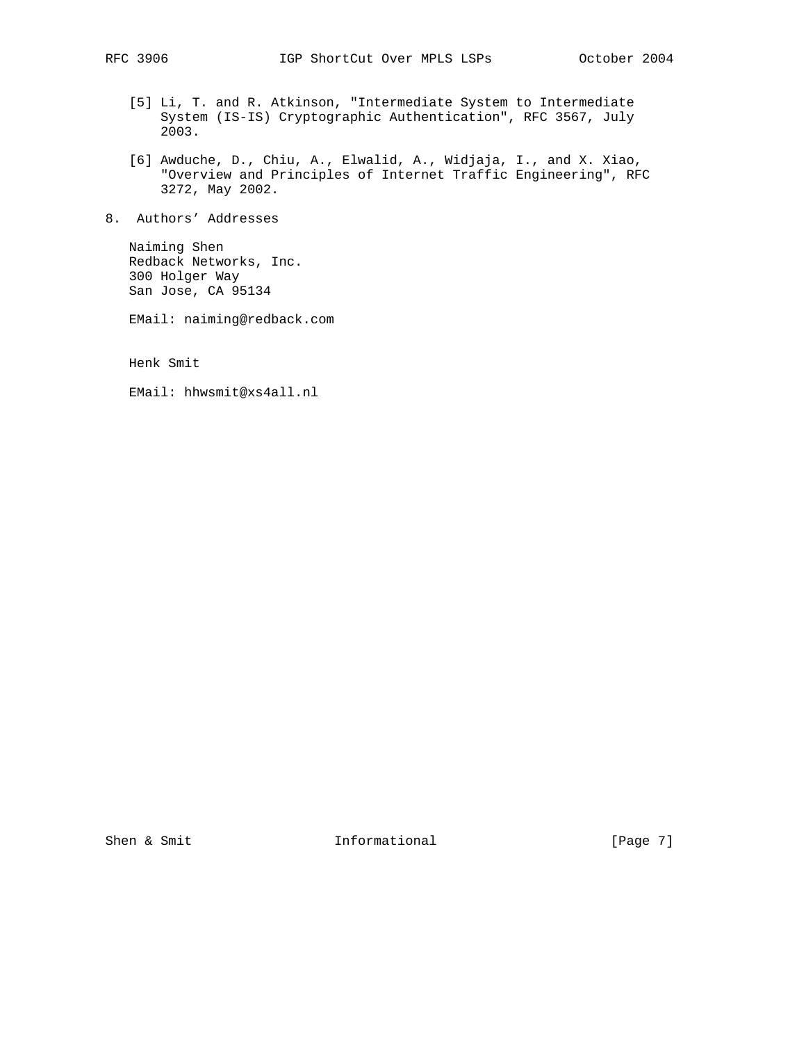- [5] Li, T. and R. Atkinson, "Intermediate System to Intermediate System (IS-IS) Cryptographic Authentication", RFC 3567, July 2003.
- [6] Awduche, D., Chiu, A., Elwalid, A., Widjaja, I., and X. Xiao, "Overview and Principles of Internet Traffic Engineering", RFC 3272, May 2002.
- 8. Authors' Addresses

 Naiming Shen Redback Networks, Inc. 300 Holger Way San Jose, CA 95134

EMail: naiming@redback.com

Henk Smit

EMail: hhwsmit@xs4all.nl

Shen & Smit **Informational** [Page 7]